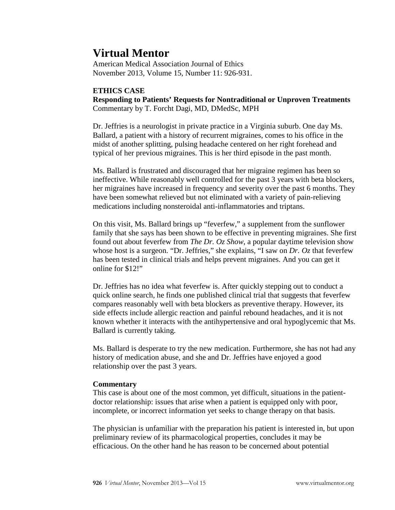# **Virtual Mentor**

American Medical Association Journal of Ethics November 2013, Volume 15, Number 11: 926-931.

# **ETHICS CASE**

**Responding to Patients' Requests for Nontraditional or Unproven Treatments** Commentary by T. Forcht Dagi, MD, DMedSc, MPH

Dr. Jeffries is a neurologist in private practice in a Virginia suburb. One day Ms. Ballard, a patient with a history of recurrent migraines, comes to his office in the midst of another splitting, pulsing headache centered on her right forehead and typical of her previous migraines. This is her third episode in the past month.

Ms. Ballard is frustrated and discouraged that her migraine regimen has been so ineffective. While reasonably well controlled for the past 3 years with beta blockers, her migraines have increased in frequency and severity over the past 6 months. They have been somewhat relieved but not eliminated with a variety of pain-relieving medications including nonsteroidal anti-inflammatories and triptans.

On this visit, Ms. Ballard brings up "feverfew," a supplement from the sunflower family that she says has been shown to be effective in preventing migraines. She first found out about feverfew from *The Dr. Oz Show*, a popular daytime television show whose host is a surgeon. "Dr. Jeffries," she explains, "I saw on *Dr. Oz* that feverfew has been tested in clinical trials and helps prevent migraines. And you can get it online for \$12!"

Dr. Jeffries has no idea what feverfew is. After quickly stepping out to conduct a quick online search, he finds one published clinical trial that suggests that feverfew compares reasonably well with beta blockers as preventive therapy. However, its side effects include allergic reaction and painful rebound headaches, and it is not known whether it interacts with the antihypertensive and oral hypoglycemic that Ms. Ballard is currently taking.

Ms. Ballard is desperate to try the new medication. Furthermore, she has not had any history of medication abuse, and she and Dr. Jeffries have enjoyed a good relationship over the past 3 years.

## **Commentary**

This case is about one of the most common, yet difficult, situations in the patientdoctor relationship: issues that arise when a patient is equipped only with poor, incomplete, or incorrect information yet seeks to change therapy on that basis.

The physician is unfamiliar with the preparation his patient is interested in, but upon preliminary review of its pharmacological properties, concludes it may be efficacious. On the other hand he has reason to be concerned about potential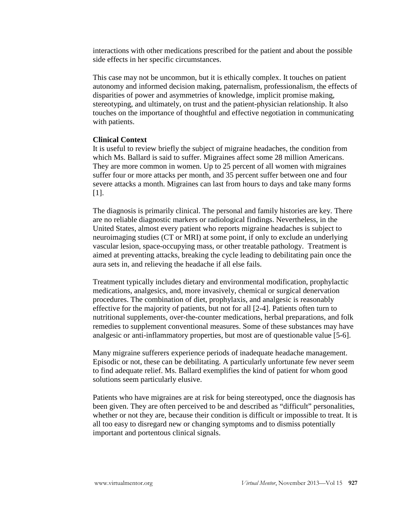interactions with other medications prescribed for the patient and about the possible side effects in her specific circumstances.

This case may not be uncommon, but it is ethically complex. It touches on patient autonomy and informed decision making, paternalism, professionalism, the effects of disparities of power and asymmetries of knowledge, implicit promise making, stereotyping, and ultimately, on trust and the patient-physician relationship. It also touches on the importance of thoughtful and effective negotiation in communicating with patients.

#### **Clinical Context**

It is useful to review briefly the subject of migraine headaches, the condition from which Ms. Ballard is said to suffer. Migraines affect some 28 million Americans. They are more common in women. Up to 25 percent of all women with migraines suffer four or more attacks per month, and 35 percent suffer between one and four severe attacks a month. Migraines can last from hours to days and take many forms [1].

The diagnosis is primarily clinical. The personal and family histories are key. There are no reliable diagnostic markers or radiological findings. Nevertheless, in the United States, almost every patient who reports migraine headaches is subject to neuroimaging studies (CT or MRI) at some point, if only to exclude an underlying vascular lesion, space-occupying mass, or other treatable pathology. Treatment is aimed at preventing attacks, breaking the cycle leading to debilitating pain once the aura sets in, and relieving the headache if all else fails.

Treatment typically includes dietary and environmental modification, prophylactic medications, analgesics, and, more invasively, chemical or surgical denervation procedures. The combination of diet, prophylaxis, and analgesic is reasonably effective for the majority of patients, but not for all [2-4]. Patients often turn to nutritional supplements, over-the-counter medications, herbal preparations, and folk remedies to supplement conventional measures. Some of these substances may have analgesic or anti-inflammatory properties, but most are of questionable value [5-6].

Many migraine sufferers experience periods of inadequate headache management. Episodic or not, these can be debilitating. A particularly unfortunate few never seem to find adequate relief. Ms. Ballard exemplifies the kind of patient for whom good solutions seem particularly elusive.

Patients who have migraines are at risk for being stereotyped, once the diagnosis has been given. They are often perceived to be and described as "difficult" personalities, whether or not they are, because their condition is difficult or impossible to treat. It is all too easy to disregard new or changing symptoms and to dismiss potentially important and portentous clinical signals.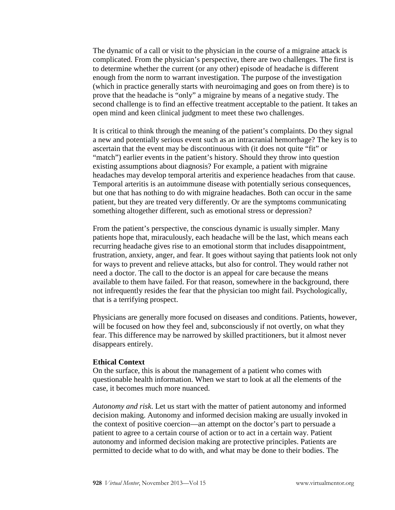The dynamic of a call or visit to the physician in the course of a migraine attack is complicated. From the physician's perspective, there are two challenges. The first is to determine whether the current (or any other) episode of headache is different enough from the norm to warrant investigation. The purpose of the investigation (which in practice generally starts with neuroimaging and goes on from there) is to prove that the headache is "only" a migraine by means of a negative study. The second challenge is to find an effective treatment acceptable to the patient. It takes an open mind and keen clinical judgment to meet these two challenges.

It is critical to think through the meaning of the patient's complaints. Do they signal a new and potentially serious event such as an intracranial hemorrhage? The key is to ascertain that the event may be discontinuous with (it does not quite "fit" or "match") earlier events in the patient's history. Should they throw into question existing assumptions about diagnosis? For example, a patient with migraine headaches may develop temporal arteritis and experience headaches from that cause. Temporal arteritis is an autoimmune disease with potentially serious consequences, but one that has nothing to do with migraine headaches. Both can occur in the same patient, but they are treated very differently. Or are the symptoms communicating something altogether different, such as emotional stress or depression?

From the patient's perspective, the conscious dynamic is usually simpler. Many patients hope that, miraculously, each headache will be the last, which means each recurring headache gives rise to an emotional storm that includes disappointment, frustration, anxiety, anger, and fear. It goes without saying that patients look not only for ways to prevent and relieve attacks, but also for control. They would rather not need a doctor. The call to the doctor is an appeal for care because the means available to them have failed. For that reason, somewhere in the background, there not infrequently resides the fear that the physician too might fail. Psychologically, that is a terrifying prospect.

Physicians are generally more focused on diseases and conditions. Patients, however, will be focused on how they feel and, subconsciously if not overtly, on what they fear. This difference may be narrowed by skilled practitioners, but it almost never disappears entirely.

#### **Ethical Context**

On the surface, this is about the management of a patient who comes with questionable health information. When we start to look at all the elements of the case, it becomes much more nuanced.

*Autonomy and risk*. Let us start with the matter of patient autonomy and informed decision making. Autonomy and informed decision making are usually invoked in the context of positive coercion—an attempt on the doctor's part to persuade a patient to agree to a certain course of action or to act in a certain way. Patient autonomy and informed decision making are protective principles. Patients are permitted to decide what to do with, and what may be done to their bodies. The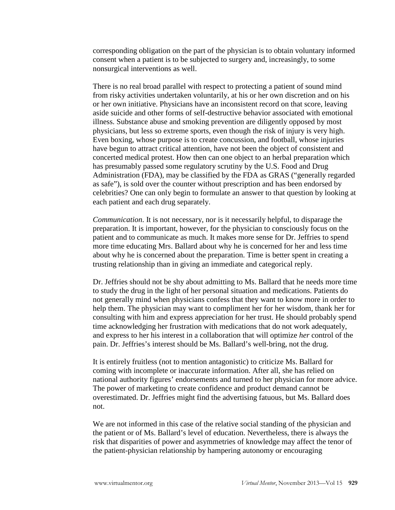corresponding obligation on the part of the physician is to obtain voluntary informed consent when a patient is to be subjected to surgery and, increasingly, to some nonsurgical interventions as well.

There is no real broad parallel with respect to protecting a patient of sound mind from risky activities undertaken voluntarily, at his or her own discretion and on his or her own initiative. Physicians have an inconsistent record on that score, leaving aside suicide and other forms of self-destructive behavior associated with emotional illness. Substance abuse and smoking prevention are diligently opposed by most physicians, but less so extreme sports, even though the risk of injury is very high. Even boxing, whose purpose is to create concussion, and football, whose injuries have begun to attract critical attention, have not been the object of consistent and concerted medical protest. How then can one object to an herbal preparation which has presumably passed some regulatory scrutiny by the U.S. Food and Drug Administration (FDA), may be classified by the FDA as GRAS ("generally regarded as safe"), is sold over the counter without prescription and has been endorsed by celebrities? One can only begin to formulate an answer to that question by looking at each patient and each drug separately.

*Communication*. It is not necessary, nor is it necessarily helpful, to disparage the preparation. It is important, however, for the physician to consciously focus on the patient and to communicate as much. It makes more sense for Dr. Jeffries to spend more time educating Mrs. Ballard about why he is concerned for her and less time about why he is concerned about the preparation. Time is better spent in creating a trusting relationship than in giving an immediate and categorical reply.

Dr. Jeffries should not be shy about admitting to Ms. Ballard that he needs more time to study the drug in the light of her personal situation and medications. Patients do not generally mind when physicians confess that they want to know more in order to help them. The physician may want to compliment her for her wisdom, thank her for consulting with him and express appreciation for her trust. He should probably spend time acknowledging her frustration with medications that do not work adequately, and express to her his interest in a collaboration that will optimize *her* control of the pain. Dr. Jeffries's interest should be Ms. Ballard's well-bring, not the drug.

It is entirely fruitless (not to mention antagonistic) to criticize Ms. Ballard for coming with incomplete or inaccurate information. After all, she has relied on national authority figures' endorsements and turned to her physician for more advice. The power of marketing to create confidence and product demand cannot be overestimated. Dr. Jeffries might find the advertising fatuous, but Ms. Ballard does not.

We are not informed in this case of the relative social standing of the physician and the patient or of Ms. Ballard's level of education. Nevertheless, there is always the risk that disparities of power and asymmetries of knowledge may affect the tenor of the patient-physician relationship by hampering autonomy or encouraging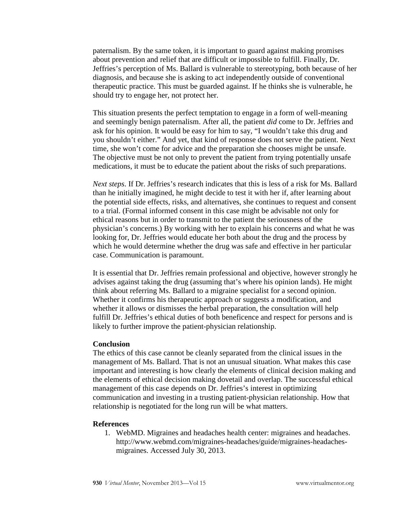paternalism. By the same token, it is important to guard against making promises about prevention and relief that are difficult or impossible to fulfill. Finally, Dr. Jeffries's perception of Ms. Ballard is vulnerable to stereotyping, both because of her diagnosis, and because she is asking to act independently outside of conventional therapeutic practice. This must be guarded against. If he thinks she is vulnerable, he should try to engage her, not protect her.

This situation presents the perfect temptation to engage in a form of well-meaning and seemingly benign paternalism. After all, the patient *did* come to Dr. Jeffries and ask for his opinion. It would be easy for him to say, "I wouldn't take this drug and you shouldn't either." And yet, that kind of response does not serve the patient. Next time, she won't come for advice and the preparation she chooses might be unsafe. The objective must be not only to prevent the patient from trying potentially unsafe medications, it must be to educate the patient about the risks of such preparations.

*Next steps*. If Dr. Jeffries's research indicates that this is less of a risk for Ms. Ballard than he initially imagined, he might decide to test it with her if, after learning about the potential side effects, risks, and alternatives, she continues to request and consent to a trial. (Formal informed consent in this case might be advisable not only for ethical reasons but in order to transmit to the patient the seriousness of the physician's concerns.) By working with her to explain his concerns and what he was looking for, Dr. Jeffries would educate her both about the drug and the process by which he would determine whether the drug was safe and effective in her particular case. Communication is paramount.

It is essential that Dr. Jeffries remain professional and objective, however strongly he advises against taking the drug (assuming that's where his opinion lands). He might think about referring Ms. Ballard to a migraine specialist for a second opinion. Whether it confirms his therapeutic approach or suggests a modification, and whether it allows or dismisses the herbal preparation, the consultation will help fulfill Dr. Jeffries's ethical duties of both beneficence and respect for persons and is likely to further improve the patient-physician relationship.

#### **Conclusion**

The ethics of this case cannot be cleanly separated from the clinical issues in the management of Ms. Ballard. That is not an unusual situation. What makes this case important and interesting is how clearly the elements of clinical decision making and the elements of ethical decision making dovetail and overlap. The successful ethical management of this case depends on Dr. Jeffries's interest in optimizing communication and investing in a trusting patient-physician relationship. How that relationship is negotiated for the long run will be what matters.

#### **References**

1. WebMD. Migraines and headaches health center: migraines and headaches. http://www.webmd.com/migraines-headaches/guide/migraines-headachesmigraines. Accessed July 30, 2013.